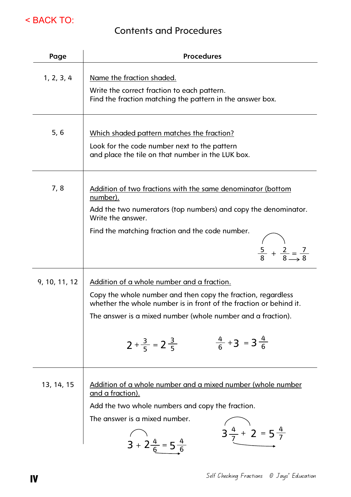

## Contents and Procedures

| Page          | <b>Procedures</b>                                                                                                                                                                                                                                                                                                           |
|---------------|-----------------------------------------------------------------------------------------------------------------------------------------------------------------------------------------------------------------------------------------------------------------------------------------------------------------------------|
| 1, 2, 3, 4    | Name the fraction shaded.<br>Write the correct fraction to each pattern.<br>Find the fraction matching the pattern in the answer box.                                                                                                                                                                                       |
| 5, 6          | Which shaded pattern matches the fraction?<br>Look for the code number next to the pattern<br>and place the tile on that number in the LUK box.                                                                                                                                                                             |
| 7,8           | <u>Addition of two fractions with the same denominator (bottom</u><br>number).<br>Add the two numerators (top numbers) and copy the denominator.<br>Write the answer.<br>Find the matching fraction and the code number.<br>$\frac{5}{8} + \frac{2}{8} = \frac{7}{8}$                                                       |
| 9, 10, 11, 12 | Addition of a whole number and a fraction.<br>Copy the whole number and then copy the fraction, regardless<br>whether the whole number is in front of the fraction or behind it.<br>The answer is a mixed number (whole number and a fraction).<br>$\frac{4}{6}$ + 3 = 3 $\frac{4}{6}$<br>$2 + \frac{3}{5} = 2 \frac{3}{5}$ |
| 13, 14, 15    | Addition of a whole number and a mixed number (whole number<br><u>and a fraction).</u><br>Add the two whole numbers and copy the fraction.<br>The answer is a mixed number.<br>$3\frac{4}{7}$ + 2 = 5 $\frac{4}{7}$<br>$3 + 2\frac{4}{6} = 5\frac{4}{6}$                                                                    |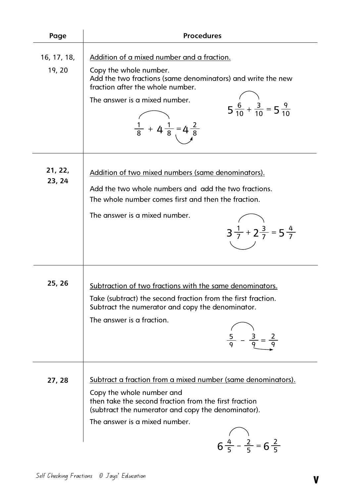| Page                  | <b>Procedures</b>                                                                                                                                                                                                                                                                                               |  |  |  |  |  |  |  |
|-----------------------|-----------------------------------------------------------------------------------------------------------------------------------------------------------------------------------------------------------------------------------------------------------------------------------------------------------------|--|--|--|--|--|--|--|
| 16, 17, 18,<br>19, 20 | Addition of a mixed number and a fraction.<br>Copy the whole number.<br>Add the two fractions (same denominators) and write the new<br>fraction after the whole number.<br>The answer is a mixed number.<br>$5\frac{6}{10} + \frac{3}{10} = 5\frac{9}{10}$<br>$\frac{1}{8}$ + 4 $\frac{1}{8}$ = 4 $\frac{2}{8}$ |  |  |  |  |  |  |  |
| 21, 22,<br>23, 24     | Addition of two mixed numbers (same denominators).<br>Add the two whole numbers and add the two fractions.<br>The whole number comes first and then the fraction.<br>The answer is a mixed number.<br>$3\frac{1}{7} + 2\frac{3}{7} = 5\frac{4}{7}$                                                              |  |  |  |  |  |  |  |
| 25, 26                | Subtraction of two fractions with the same denominators.<br>Take (subtract) the second fraction from the first fraction.<br>Subtract the numerator and copy the denominator.<br>The answer is a fraction.                                                                                                       |  |  |  |  |  |  |  |
| 27, 28                | <u>Subtract a fraction from a mixed number (same denominators).</u><br>Copy the whole number and<br>then take the second fraction from the first fraction<br>(subtract the numerator and copy the denominator).<br>The answer is a mixed number.<br>$6\frac{4}{5} - \frac{2}{5} = 6\frac{2}{5}$                 |  |  |  |  |  |  |  |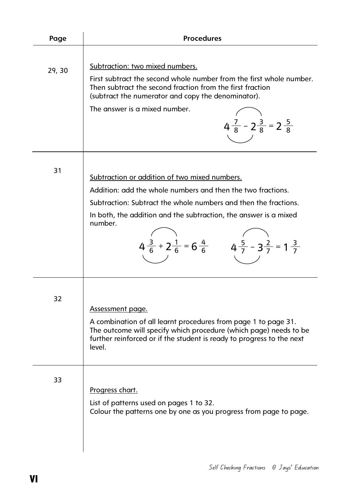| Page   | <b>Procedures</b>                                                                                                                                                                                                                                                                                                                                           |
|--------|-------------------------------------------------------------------------------------------------------------------------------------------------------------------------------------------------------------------------------------------------------------------------------------------------------------------------------------------------------------|
| 29, 30 | Subtraction: two mixed numbers.<br>First subtract the second whole number from the first whole number.<br>Then subtract the second fraction from the first fraction<br>(subtract the numerator and copy the denominator).<br>The answer is a mixed number.<br>$4\frac{7}{8}$ - $2\frac{3}{8}$ = $2\frac{5}{8}$                                              |
| 31     | Subtraction or addition of two mixed numbers.<br>Addition: add the whole numbers and then the two fractions.<br>Subtraction: Subtract the whole numbers and then the fractions.<br>In both, the addition and the subtraction, the answer is a mixed<br>number.<br>$4\frac{3}{6} + 2\frac{1}{6} = 6\frac{4}{6}$ $4\frac{5}{7} - 3\frac{2}{7} = 1\frac{3}{7}$ |
| 32     | Assessment page.<br>A combination of all learnt procedures from page 1 to page 31.<br>The outcome will specify which procedure (which page) needs to be<br>further reinforced or if the student is ready to progress to the next<br>level.                                                                                                                  |
| 33     | Progress chart.<br>List of patterns used on pages 1 to 32.<br>Colour the patterns one by one as you progress from page to page.                                                                                                                                                                                                                             |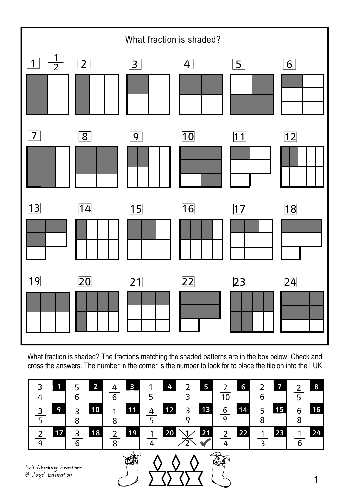

What fraction is shaded? The fractions matching the shaded patterns are in the box below. Check and cross the answers. The number in the corner is the number to look for to place the tile on into the LUK

| ЧL. | $\overline{2}$ | $\overline{\mathbf{3}}$          | 4<br>1                         | $\overline{5}$               | 6<br>10              | <b>by</b>    | $\mathbf{8}$<br>5           |
|-----|----------------|----------------------------------|--------------------------------|------------------------------|----------------------|--------------|-----------------------------|
| 9   | 10<br>⊇        | 11<br>1<br>$\circ$               | 12<br>4                        | 13<br>3<br>C                 | 14<br>6<br>$\Omega$  | 15<br>5<br>8 | 16<br>$\boldsymbol{6}$<br>8 |
| 17  | 18<br>₹        | 19<br>$\overline{2}$<br>$\Omega$ | 20 <sub>1</sub><br>$\mathbf 1$ | 21<br>$\backsim$ 1 $\diagup$ | 22<br>$\overline{2}$ | 23<br>1      | 24<br>1<br>$\sqrt{ }$       |

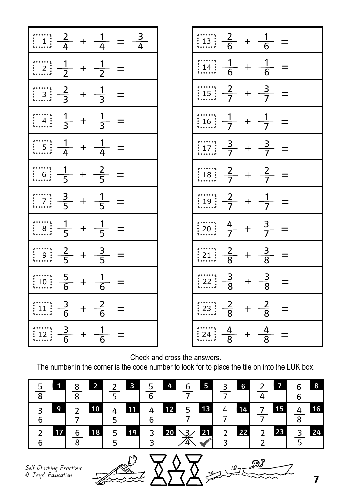| $\frac{1}{2}$ $\frac{2}{4}$ + $\frac{1}{4}$ = $\frac{3}{4}$                                       |       |                |          |  |
|---------------------------------------------------------------------------------------------------|-------|----------------|----------|--|
| $\frac{1}{2}$ $\frac{1}{2}$ + $\frac{1}{2}$                                                       |       |                |          |  |
| $\frac{2}{3}$ $\frac{2}{3}$ + $\frac{1}{3}$                                                       |       |                |          |  |
| $\frac{1}{2}$ $\frac{4}{3}$ $\frac{1}{3}$                                                         | $+$   | $\frac{1}{3}$  |          |  |
| $\left[\frac{1}{5}\right] \frac{1}{4} + \frac{1}{4}$                                              |       |                |          |  |
| $\frac{1}{6}$ $\frac{1}{5}$ + $\frac{2}{5}$                                                       |       |                | $\equiv$ |  |
| $\frac{3}{5} + \frac{1}{5}$                                                                       |       |                | $\equiv$ |  |
| $\frac{1}{6}$ $\frac{1}{5}$ +                                                                     |       | $\frac{1}{5}$  |          |  |
| $\frac{1}{2} + \frac{3}{5}$                                                                       |       |                |          |  |
| $\frac{5}{6}$<br>$\begin{matrix}\n\vdots & \vdots & \vdots \\ 10 & \vdots & \vdots\n\end{matrix}$ | $+$   | $-\frac{1}{6}$ |          |  |
| $\frac{3}{6}$<br>11                                                                               | $\pm$ | $\frac{2}{6}$  |          |  |
| $\frac{3}{6}$                                                                                     |       | $\frac{1}{6}$  |          |  |

| $\frac{1}{4}$ = $\frac{3}{4}$ | $\left \frac{1}{113}\right  \frac{2}{6} + \frac{1}{6} =$        |
|-------------------------------|-----------------------------------------------------------------|
| $\frac{1}{2}$ =               | $\left  \frac{1}{14} \frac{1}{6} + \frac{1}{6} \right  =$       |
| $\frac{1}{3}$ =               | $\frac{1}{15} \frac{2}{7} + \frac{3}{7} =$                      |
| $\frac{1}{3}$ =               | $\frac{1}{16}$ $\frac{1}{7}$ + $\frac{1}{7}$ =                  |
| $\frac{1}{4}$ =               | $\left \frac{3}{12}\right  \frac{3}{7} + \frac{3}{7} =$         |
| $\frac{2}{5}$ =               | $\left  \frac{2}{18} \cdot \frac{2}{7} + \frac{2}{7} \right  =$ |
| $\frac{1}{5}$ =               | $\left  \frac{1}{19} \frac{2}{7} + \frac{1}{7} \right $         |
| $\frac{1}{5}$ =               | $\frac{1}{20}$ $\frac{4}{7}$ + $\frac{3}{7}$ =                  |
| $\frac{3}{5}$ =               | $\frac{2}{3}$ $\frac{2}{8}$ + $\frac{3}{8}$ =                   |
| $\frac{1}{6}$                 | $\frac{3}{22} + \frac{3}{8}$<br>$\equiv$                        |
| $\frac{2}{6}$                 | $\frac{2}{3!} + \frac{2}{8}$                                    |
| $\frac{1}{6}$                 | $\frac{4}{3} + \frac{4}{8} + \frac{4}{8}$                       |

Check and cross the answers.

The number in the corner is the code number to look for to place the tile on into the LUK box.

| $\mathbf 1$<br>5  | $\overline{\mathbf{z}}$<br>8<br>$\sim$<br>$\circ$ | $\mathbf{B}$ | 4              | 5<br>6               | 6                    | $\blacktriangledown$                            | 8                             |
|-------------------|---------------------------------------------------|--------------|----------------|----------------------|----------------------|-------------------------------------------------|-------------------------------|
| 9<br>$\mathbf{z}$ | $\overline{10}$                                   | 11           | 12<br>$\Delta$ | 13<br>$\overline{5}$ | 14<br>4              | 15                                              | $\overline{\mathbf{16}}$<br>8 |
| 17                | 18<br>6<br>8                                      | 19<br>5<br>ᄃ | 3              | 21<br>$20 \times 3$  | 22<br>$\overline{2}$ | 23<br>$\mathcal{D}$<br>$\overline{\phantom{0}}$ | 24<br>$\mathbf{r}$            |

Self Checking Fractions © Jays' Education

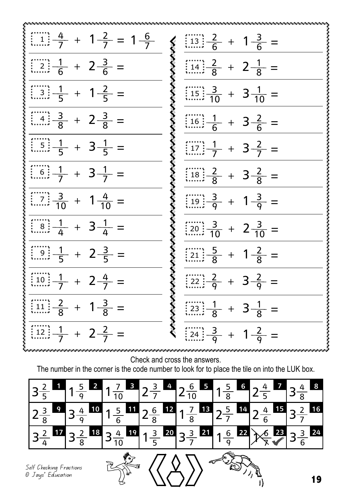| $\frac{4}{1} \left( \frac{4}{7} + 1 \frac{2}{7} - 1 \frac{6}{7} \right)$ | $\frac{2}{3}$ $\frac{13}{6}$ + $1\frac{3}{6}$ =                  |
|--------------------------------------------------------------------------|------------------------------------------------------------------|
| $\frac{1}{6}$ + $2\frac{3}{6}$ + $2\frac{3}{6}$ =                        | $\frac{3}{8}$ $\frac{1}{14}$ $\frac{2}{8}$ + $2\frac{1}{8}$ =    |
| $\left[\frac{1}{3}\right]\frac{1}{5} + 1\frac{2}{5} =$                   | $\frac{3}{2}$ $\frac{15}{15}$ $\frac{3}{10}$ + $3\frac{1}{10}$ = |
| $\frac{3}{4}$ $\frac{3}{8}$ + $2\frac{3}{8}$ =                           | $\frac{3}{8}$ $\frac{1}{16}$ $\frac{1}{6}$ + $3\frac{2}{6}$ =    |
| $\frac{1}{\left(1.5\right)}\frac{1}{5} + 3\frac{1}{5} =$                 | $\frac{1}{2}$ $\frac{1}{7}$ + $3\frac{2}{7}$ =                   |
| $\frac{1}{6}$ = $\frac{1}{7}$ + 3 $\frac{1}{7}$ =                        | $\frac{18}{18} + 3\frac{2}{8}$ + 3 $\frac{2}{8}$ =               |
| $\frac{3}{10}$ + $1\frac{4}{10}$ +                                       | $\frac{3}{19}$ $\frac{3}{9}$ + $1\frac{3}{9}$ =                  |
| $\frac{1}{4}$ $\frac{1}{4}$ + $3\frac{1}{4}$ =                           | $\frac{3}{10} + 2\frac{3}{10}$ + 2 $\frac{3}{10}$ =              |
| $\frac{1}{2}$ $\frac{1}{5}$ + $2\frac{3}{5}$ =                           | $\frac{1}{21} + 1\frac{2}{8}$ + $1\frac{2}{8}$ =                 |
| $\frac{1}{2}$ 10 $\frac{1}{7}$ + 2 $\frac{4}{7}$ =                       | $\frac{2}{22}$ $\frac{2}{9}$ + 3 $\frac{2}{9}$ =                 |
| $\frac{2}{3} + 1\frac{3}{8} =$                                           | $\frac{1}{23} + 3\frac{1}{8}$ + 3 $\frac{1}{8}$ =                |
| $\frac{1}{2}$ $\frac{1}{7}$ + $2\frac{2}{7}$ =                           | $\frac{3}{24}$ $\frac{3}{9}$ + $1\frac{2}{9}$ =                  |

Check and cross the answers.

The number in the corner is the code number to look for to place the tile on into the LUK box.

|                                               | $\overline{\mathbf{2}}$<br>$\overline{q}$ | $\overline{\mathbf{3}}$<br>$\overline{10}$ | $2\frac{3}{7}$ | $\frac{4}{2\frac{6}{10}}$                                          | $\frac{5}{8}$ 1 $\frac{5}{8}$<br>6  |                | 8<br>$\overline{8}$ |
|-----------------------------------------------|-------------------------------------------|--------------------------------------------|----------------|--------------------------------------------------------------------|-------------------------------------|----------------|---------------------|
|                                               | 10                                        |                                            |                | $\frac{11}{2\frac{6}{8}}$ $\frac{12}{1\frac{7}{8}}$ $\frac{13}{2}$ | $\frac{5}{ }$<br>14                 | $\overline{6}$ | <b>16</b>           |
|                                               | $18$                                      |                                            |                | $\frac{4}{10}$ 19 $1\frac{3}{5}$ 20 $3\frac{3}{7}$ 21              | 22<br>16<br>$\overline{\mathsf{q}}$ | 23             | 3 24                |
| Self Checking Fractions<br>วิ Jays' Education |                                           |                                            |                |                                                                    |                                     |                | 4 A                 |

Self Checking Fractions © Jays' Education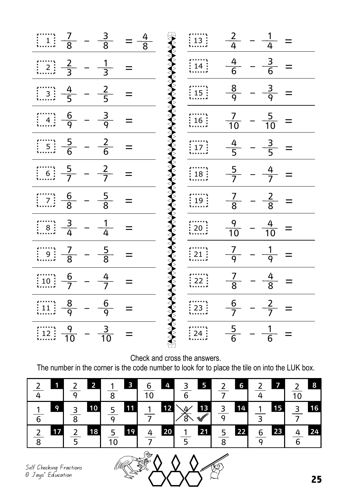| $\frac{3}{8}$<br>$\begin{array}{c}\n\cdots \\ \vdots \\ \cdots\n\end{array}$                                                                                               | <b>AAA</b><br>$=\frac{4}{8}$ | $\frac{13}{13}$                                              | $\frac{2}{4}$ - $\frac{1}{4}$      |                           |
|----------------------------------------------------------------------------------------------------------------------------------------------------------------------------|------------------------------|--------------------------------------------------------------|------------------------------------|---------------------------|
| $rac{2}{3}$<br>$\frac{1}{3}$<br>$\begin{array}{c} \overline{\phantom{2}} \\ \overline{\phantom{2}} \\ \overline{\phantom{2}} \\ \overline{\phantom{2}} \end{array}$<br>$=$ | $\leftrightarrow$            | $\begin{matrix}\n\vdots \\ 14\n\end{matrix}$                 | $\frac{4}{6}$<br>$\equiv$ $\equiv$ | $\frac{3}{6}$<br>$\equiv$ |
| $\frac{2}{5}$<br>$\frac{4}{5}$<br>$\frac{1}{1}$ 3 :<br>$\overline{\phantom{0}}$<br>$=$                                                                                     | ≹                            | $\begin{matrix}\n \\ 15 \\  \\  \n\end{matrix}$              | $\frac{8}{9}$<br>$ -$              | $rac{3}{9}$<br>$\equiv$   |
| $\frac{6}{9}$<br>$\frac{3}{9}$<br>$\frac{1}{1}$ 4 $\frac{1}{2}$<br>$=$                                                                                                     | $\sum_{i=1}^{n}$             | $\begin{matrix}\n \\ 16\n\end{matrix}$                       | $\frac{7}{10} - \frac{5}{10} =$    |                           |
| $\frac{5}{6}$<br>$\frac{2}{6}$<br>$=$                                                                                                                                      |                              | $\begin{matrix}\n \\ 17 \\  \\  \n\end{matrix}$              | $\frac{4}{5}$                      | $\frac{3}{5}$<br>$\equiv$ |
| $\frac{5}{7}$<br>$\frac{2}{7}$<br>$\begin{matrix} 1 & 1 & 1 \\ 1 & 6 & 1 \end{matrix}$<br>$\overline{\phantom{0}}$                                                         | LAA                          | $\begin{matrix}\n \vdots \\  18\n \end{matrix}$              | $\frac{5}{7}$                      | $rac{4}{7}$               |
| $\frac{5}{8}$<br>$\frac{6}{8}$<br>$\frac{1}{2}$<br>$\mathbb{R}^2$<br>$=$                                                                                                   | $\sum\limits_{i=1}^{k}$      | $\begin{matrix}\n \vdots \\  19 \\  \vdots \\  \end{matrix}$ | $\frac{7}{8}$ -                    | $\frac{2}{8}$             |
| $\frac{3}{4}$<br>$\frac{1}{4}$<br>$\begin{array}{c} \ldots \\ \vdots \\ \ldots \end{array}$<br>$=$                                                                         |                              | $\frac{20}{1}$                                               | $\frac{9}{10}$ -                   | $\frac{4}{10}$            |
| $\frac{5}{8}$<br>$\frac{7}{8}$<br>$\begin{matrix}\n\vdots \\ 9\n\end{matrix}$                                                                                              | Ķ                            | $\begin{matrix}\n \\ 21\n\end{matrix}$                       | $\frac{7}{9}$                      | $\frac{1}{9}$             |
| $\frac{6}{7}$<br>$\frac{4}{7}$<br>$\begin{matrix}\n\vdots \\ 10\n\end{matrix}$<br>$=$                                                                                      |                              | : 22:                                                        | $\frac{7}{8}$                      | $\frac{4}{8}$             |
| $rac{8}{9}$<br>$\frac{6}{9}$<br>$\left[\begin{array}{c} 1 \\ 1 \\ \end{array}\right]$                                                                                      | <b>AAAAAAA</b>               | $\frac{1}{23}$                                               | $rac{6}{7}$                        | $\frac{2}{7}$             |
| $\frac{3}{10}$<br>$\frac{9}{10}$<br>$\frac{12}{12}$                                                                                                                        |                              | 24:                                                          | $\frac{5}{6}$                      | $\frac{1}{6}$             |

Check and cross the answers.

The number in the corner is the code number to look for to place the tile on into the LUK box.

|                      | $\overline{2}$           | $\overline{\mathbf{3}}$<br>8 | 4<br>$\overline{10}$ | $5\overline{)}$<br>3<br>6             | 6                   | $\overline{\mathbf{z}}$<br>$\mathcal{L}$    | 8<br>$\overline{10}$ |
|----------------------|--------------------------|------------------------------|----------------------|---------------------------------------|---------------------|---------------------------------------------|----------------------|
| 9                    | 10<br>₹<br>$\frac{5}{8}$ | 11<br>$\frac{5}{9}$          | 12<br>$\mathbf 1$    | 13<br>$\searrow$<br>$\sqrt{2}$<br>′8` | $\frac{3}{9}$<br>14 | 15<br>$\blacksquare$<br>$\mathcal{R}$       | 16<br>₹              |
| 17 <sup>1</sup><br>C | 18<br>$\overline{2}$     | 19<br>$\frac{5}{10}$         | 20 <sub>2</sub><br>4 | 21 <br>$\overline{\mathbf{1}}$        | 22<br>$\frac{5}{8}$ | 23<br>$6\phantom{1}6$<br>$\overline{\circ}$ | 24<br>6              |